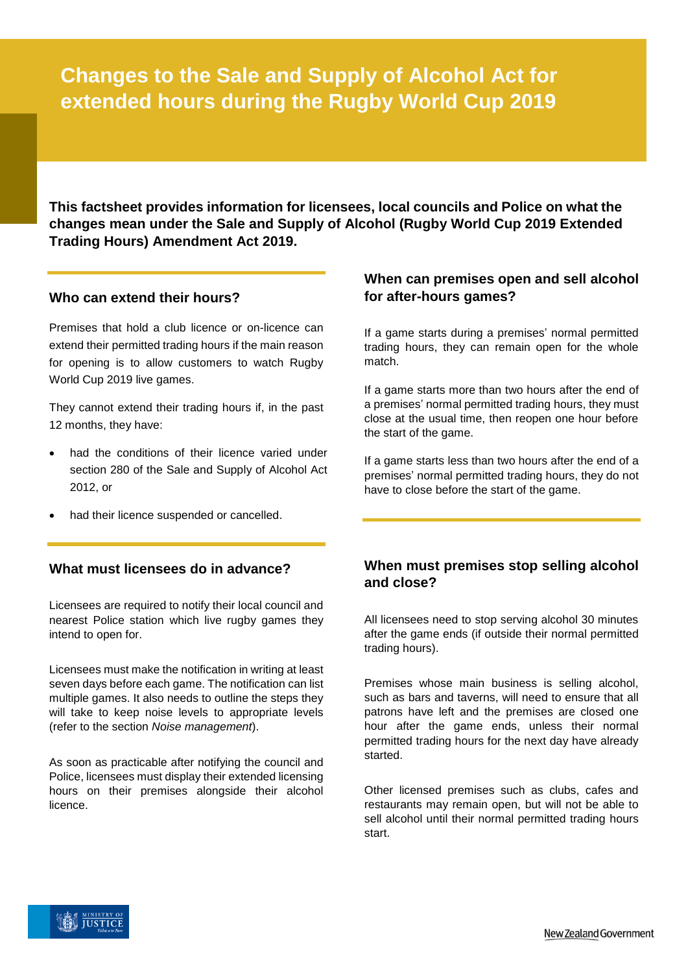# **Changes to the Sale and Supply of Alcohol Act for extended hours during the Rugby World Cup 2019**

**This factsheet provides information for licensees, local councils and Police on what the changes mean under the Sale and Supply of Alcohol (Rugby World Cup 2019 Extended Trading Hours) Amendment Act 2019.** 

# **Who can extend their hours?**

Premises that hold a club licence or on-licence can extend their permitted trading hours if the main reason for opening is to allow customers to watch Rugby World Cup 2019 live games.

They cannot extend their trading hours if, in the past 12 months, they have:

- had the conditions of their licence varied under section 280 of the Sale and Supply of Alcohol Act 2012, or
- had their licence suspended or cancelled.

#### **What must licensees do in advance?**

Licensees are required to notify their local council and nearest Police station which live rugby games they intend to open for.

Licensees must make the notification in writing at least seven days before each game. The notification can list multiple games. It also needs to outline the steps they will take to keep noise levels to appropriate levels (refer to the section *Noise management*).

As soon as practicable after notifying the council and Police, licensees must display their extended licensing hours on their premises alongside their alcohol licence.

# **When can premises open and sell alcohol for after-hours games?**

If a game starts during a premises' normal permitted trading hours, they can remain open for the whole match.

If a game starts more than two hours after the end of a premises' normal permitted trading hours, they must close at the usual time, then reopen one hour before the start of the game.

If a game starts less than two hours after the end of a premises' normal permitted trading hours, they do not have to close before the start of the game.

# **When must premises stop selling alcohol and close?**

All licensees need to stop serving alcohol 30 minutes after the game ends (if outside their normal permitted trading hours).

Premises whose main business is selling alcohol, such as bars and taverns, will need to ensure that all patrons have left and the premises are closed one hour after the game ends, unless their normal permitted trading hours for the next day have already started.

Other licensed premises such as clubs, cafes and restaurants may remain open, but will not be able to sell alcohol until their normal permitted trading hours start.